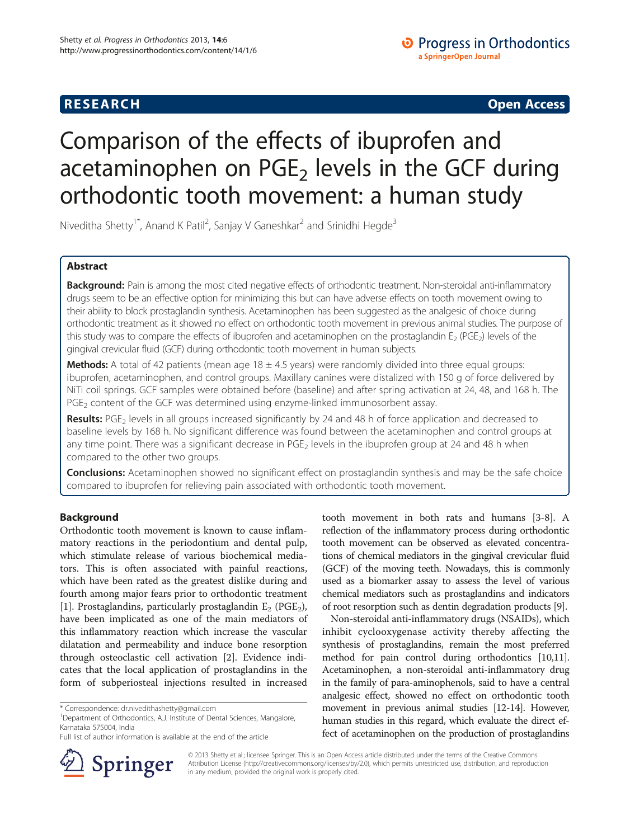## **RESEARCH CHINESE ARCH CHINESE ARCH CHINESE ARCH <b>CHINESE ARCH**

# Comparison of the effects of ibuprofen and acetaminophen on  $PGE<sub>2</sub>$  levels in the GCF during orthodontic tooth movement: a human study

Niveditha Shetty<sup>1\*</sup>, Anand K Patil<sup>2</sup>, Sanjay V Ganeshkar<sup>2</sup> and Srinidhi Hegde<sup>3</sup>

## Abstract

Background: Pain is among the most cited negative effects of orthodontic treatment. Non-steroidal anti-inflammatory drugs seem to be an effective option for minimizing this but can have adverse effects on tooth movement owing to their ability to block prostaglandin synthesis. Acetaminophen has been suggested as the analgesic of choice during orthodontic treatment as it showed no effect on orthodontic tooth movement in previous animal studies. The purpose of this study was to compare the effects of ibuprofen and acetaminophen on the prostaglandin  $E_2$  (PGE<sub>2</sub>) levels of the gingival crevicular fluid (GCF) during orthodontic tooth movement in human subjects.

**Methods:** A total of 42 patients (mean age  $18 \pm 4.5$  years) were randomly divided into three equal groups: ibuprofen, acetaminophen, and control groups. Maxillary canines were distalized with 150 g of force delivered by NiTi coil springs. GCF samples were obtained before (baseline) and after spring activation at 24, 48, and 168 h. The PGE<sub>2</sub> content of the GCF was determined using enzyme-linked immunosorbent assay.

Results: PGE<sub>2</sub> levels in all groups increased significantly by 24 and 48 h of force application and decreased to baseline levels by 168 h. No significant difference was found between the acetaminophen and control groups at any time point. There was a significant decrease in  $PGE<sub>2</sub>$  levels in the ibuprofen group at 24 and 48 h when compared to the other two groups.

**Conclusions:** Acetaminophen showed no significant effect on prostaglandin synthesis and may be the safe choice compared to ibuprofen for relieving pain associated with orthodontic tooth movement.

## Background

Orthodontic tooth movement is known to cause inflammatory reactions in the periodontium and dental pulp, which stimulate release of various biochemical mediators. This is often associated with painful reactions, which have been rated as the greatest dislike during and fourth among major fears prior to orthodontic treatment [[1\]](#page-3-0). Prostaglandins, particularly prostaglandin  $E_2$  (PGE<sub>2</sub>), have been implicated as one of the main mediators of this inflammatory reaction which increase the vascular dilatation and permeability and induce bone resorption through osteoclastic cell activation [\[2](#page-3-0)]. Evidence indicates that the local application of prostaglandins in the form of subperiosteal injections resulted in increased

<sup>1</sup>Department of Orthodontics, A.J. Institute of Dental Sciences, Mangalore, Karnataka 575004, India

Full list of author information is available at the end of the article



tooth movement in both rats and humans [[3](#page-3-0)[-8\]](#page-4-0). A reflection of the inflammatory process during orthodontic tooth movement can be observed as elevated concentrations of chemical mediators in the gingival crevicular fluid (GCF) of the moving teeth. Nowadays, this is commonly used as a biomarker assay to assess the level of various chemical mediators such as prostaglandins and indicators of root resorption such as dentin degradation products [[9](#page-4-0)].

Non-steroidal anti-inflammatory drugs (NSAIDs), which inhibit cyclooxygenase activity thereby affecting the synthesis of prostaglandins, remain the most preferred method for pain control during orthodontics [\[10,11](#page-4-0)]. Acetaminophen, a non-steroidal anti-inflammatory drug in the family of para-aminophenols, said to have a central analgesic effect, showed no effect on orthodontic tooth movement in previous animal studies [\[12-14\]](#page-4-0). However, human studies in this regard, which evaluate the direct effect of acetaminophen on the production of prostaglandins

© 2013 Shetty et al.; licensee Springer. This is an Open Access article distributed under the terms of the Creative Commons Attribution License [\(http://creativecommons.org/licenses/by/2.0\)](http://creativecommons.org/licenses/by/2.0), which permits unrestricted use, distribution, and reproduction in any medium, provided the original work is properly cited.

<sup>\*</sup> Correspondence: [dr.nivedithashetty@gmail.com](mailto:dr.nivedithashetty@gmail.com) <sup>1</sup>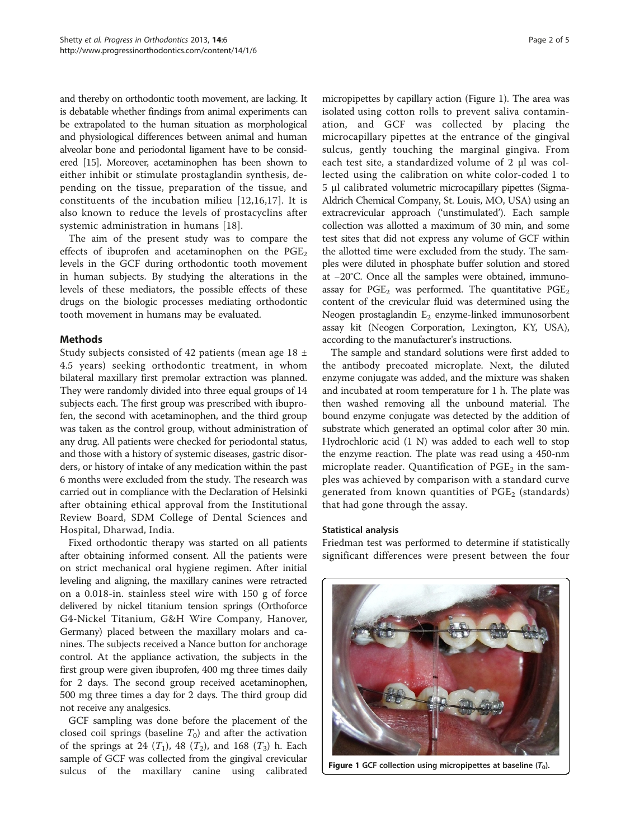and thereby on orthodontic tooth movement, are lacking. It is debatable whether findings from animal experiments can be extrapolated to the human situation as morphological and physiological differences between animal and human alveolar bone and periodontal ligament have to be considered [[15\]](#page-4-0). Moreover, acetaminophen has been shown to either inhibit or stimulate prostaglandin synthesis, depending on the tissue, preparation of the tissue, and constituents of the incubation milieu [[12,16](#page-4-0),[17\]](#page-4-0). It is also known to reduce the levels of prostacyclins after systemic administration in humans [[18](#page-4-0)].

The aim of the present study was to compare the effects of ibuprofen and acetaminophen on the  $PGE<sub>2</sub>$ levels in the GCF during orthodontic tooth movement in human subjects. By studying the alterations in the levels of these mediators, the possible effects of these drugs on the biologic processes mediating orthodontic tooth movement in humans may be evaluated.

## Methods

Study subjects consisted of 42 patients (mean age 18 ± 4.5 years) seeking orthodontic treatment, in whom bilateral maxillary first premolar extraction was planned. They were randomly divided into three equal groups of 14 subjects each. The first group was prescribed with ibuprofen, the second with acetaminophen, and the third group was taken as the control group, without administration of any drug. All patients were checked for periodontal status, and those with a history of systemic diseases, gastric disorders, or history of intake of any medication within the past 6 months were excluded from the study. The research was carried out in compliance with the Declaration of Helsinki after obtaining ethical approval from the Institutional Review Board, SDM College of Dental Sciences and Hospital, Dharwad, India.

Fixed orthodontic therapy was started on all patients after obtaining informed consent. All the patients were on strict mechanical oral hygiene regimen. After initial leveling and aligning, the maxillary canines were retracted on a 0.018-in. stainless steel wire with 150 g of force delivered by nickel titanium tension springs (Orthoforce G4-Nickel Titanium, G&H Wire Company, Hanover, Germany) placed between the maxillary molars and canines. The subjects received a Nance button for anchorage control. At the appliance activation, the subjects in the first group were given ibuprofen, 400 mg three times daily for 2 days. The second group received acetaminophen, 500 mg three times a day for 2 days. The third group did not receive any analgesics.

GCF sampling was done before the placement of the closed coil springs (baseline  $T_0$ ) and after the activation of the springs at 24  $(T_1)$ , 48  $(T_2)$ , and 168  $(T_3)$  h. Each sample of GCF was collected from the gingival crevicular sulcus of the maxillary canine using calibrated

micropipettes by capillary action (Figure 1). The area was isolated using cotton rolls to prevent saliva contamination, and GCF was collected by placing the microcapillary pipettes at the entrance of the gingival sulcus, gently touching the marginal gingiva. From each test site, a standardized volume of 2 μl was collected using the calibration on white color-coded 1 to 5 μl calibrated volumetric microcapillary pipettes (Sigma-Aldrich Chemical Company, St. Louis, MO, USA) using an extracrevicular approach ('unstimulated'). Each sample collection was allotted a maximum of 30 min, and some test sites that did not express any volume of GCF within the allotted time were excluded from the study. The samples were diluted in phosphate buffer solution and stored at −20°C. Once all the samples were obtained, immunoassay for  $PGE_2$  was performed. The quantitative  $PGE_2$ content of the crevicular fluid was determined using the Neogen prostaglandin  $E_2$  enzyme-linked immunosorbent assay kit (Neogen Corporation, Lexington, KY, USA), according to the manufacturer's instructions.

The sample and standard solutions were first added to the antibody precoated microplate. Next, the diluted enzyme conjugate was added, and the mixture was shaken and incubated at room temperature for 1 h. The plate was then washed removing all the unbound material. The bound enzyme conjugate was detected by the addition of substrate which generated an optimal color after 30 min. Hydrochloric acid (1 N) was added to each well to stop the enzyme reaction. The plate was read using a 450-nm microplate reader. Quantification of  $PGE<sub>2</sub>$  in the samples was achieved by comparison with a standard curve generated from known quantities of  $PGE_2$  (standards) that had gone through the assay.

#### Statistical analysis

Friedman test was performed to determine if statistically significant differences were present between the four



Figure 1 GCF collection using micropipettes at baseline  $(T_0)$ .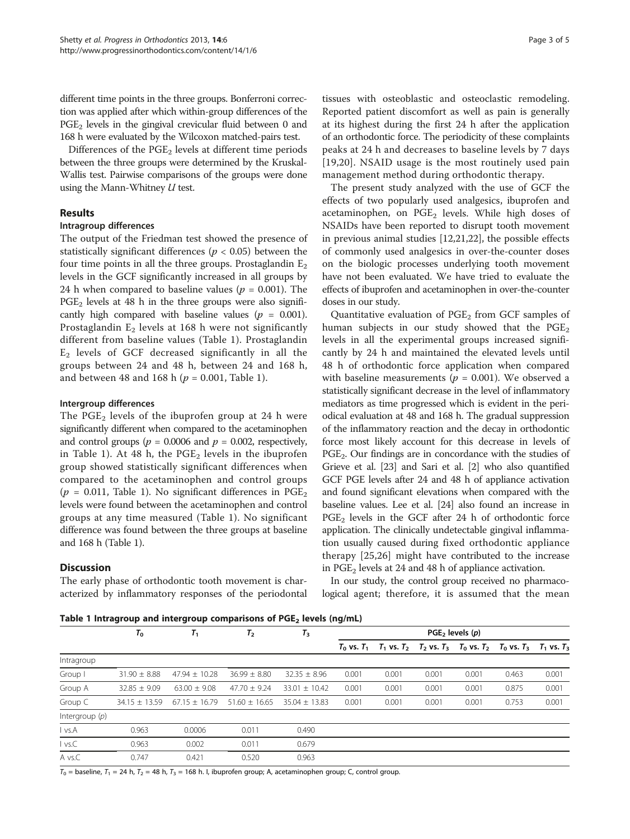different time points in the three groups. Bonferroni correction was applied after which within-group differences of the PGE<sub>2</sub> levels in the gingival crevicular fluid between 0 and 168 h were evaluated by the Wilcoxon matched-pairs test.

Differences of the  $PGE_2$  levels at different time periods between the three groups were determined by the Kruskal-Wallis test. Pairwise comparisons of the groups were done using the Mann-Whitney U test.

## Results

## Intragroup differences

The output of the Friedman test showed the presence of statistically significant differences ( $p < 0.05$ ) between the four time points in all the three groups. Prostaglandin  $E_2$ levels in the GCF significantly increased in all groups by 24 h when compared to baseline values ( $p = 0.001$ ). The  $PGE<sub>2</sub>$  levels at 48 h in the three groups were also significantly high compared with baseline values ( $p = 0.001$ ). Prostaglandin  $E_2$  levels at 168 h were not significantly different from baseline values (Table 1). Prostaglandin  $E<sub>2</sub>$  levels of GCF decreased significantly in all the groups between 24 and 48 h, between 24 and 168 h, and between 48 and 168 h ( $p = 0.001$ , Table 1).

## Intergroup differences

The  $PGE_2$  levels of the ibuprofen group at 24 h were significantly different when compared to the acetaminophen and control groups ( $p = 0.0006$  and  $p = 0.002$ , respectively, in Table 1). At 48 h, the  $PGE_2$  levels in the ibuprofen group showed statistically significant differences when compared to the acetaminophen and control groups ( $p = 0.011$ , Table 1). No significant differences in PGE<sub>2</sub> levels were found between the acetaminophen and control groups at any time measured (Table 1). No significant difference was found between the three groups at baseline and 168 h (Table 1).

## **Discussion**

The early phase of orthodontic tooth movement is characterized by inflammatory responses of the periodontal tissues with osteoblastic and osteoclastic remodeling. Reported patient discomfort as well as pain is generally at its highest during the first 24 h after the application of an orthodontic force. The periodicity of these complaints peaks at 24 h and decreases to baseline levels by 7 days [[19](#page-4-0),[20\]](#page-4-0). NSAID usage is the most routinely used pain management method during orthodontic therapy.

The present study analyzed with the use of GCF the effects of two popularly used analgesics, ibuprofen and acetaminophen, on  $PGE_2$  levels. While high doses of NSAIDs have been reported to disrupt tooth movement in previous animal studies [[12,21,22](#page-4-0)], the possible effects of commonly used analgesics in over-the-counter doses on the biologic processes underlying tooth movement have not been evaluated. We have tried to evaluate the effects of ibuprofen and acetaminophen in over-the-counter doses in our study.

Quantitative evaluation of  $PGE_2$  from GCF samples of human subjects in our study showed that the  $PGE_2$ levels in all the experimental groups increased significantly by 24 h and maintained the elevated levels until 48 h of orthodontic force application when compared with baseline measurements ( $p = 0.001$ ). We observed a statistically significant decrease in the level of inflammatory mediators as time progressed which is evident in the periodical evaluation at 48 and 168 h. The gradual suppression of the inflammatory reaction and the decay in orthodontic force most likely account for this decrease in levels of  $PGE<sub>2</sub>$ . Our findings are in concordance with the studies of Grieve et al. [[23](#page-4-0)] and Sari et al. [[2\]](#page-3-0) who also quantified GCF PGE levels after 24 and 48 h of appliance activation and found significant elevations when compared with the baseline values. Lee et al. [[24](#page-4-0)] also found an increase in  $PGE_2$  levels in the GCF after 24 h of orthodontic force application. The clinically undetectable gingival inflammation usually caused during fixed orthodontic appliance therapy [[25](#page-4-0),[26\]](#page-4-0) might have contributed to the increase in  $PGE_2$  levels at 24 and 48 h of appliance activation.

In our study, the control group received no pharmacological agent; therefore, it is assumed that the mean

Table 1 Intragroup and intergroup comparisons of  $PGE<sub>2</sub>$  levels (ng/mL)

| $T_0$<br>$T_{1}$  |                   | $T_{2}$           | $T_3$             | $PGE_2$ levels $(p)$ |       |       |       |       |                                                                                                 |
|-------------------|-------------------|-------------------|-------------------|----------------------|-------|-------|-------|-------|-------------------------------------------------------------------------------------------------|
|                   |                   |                   |                   |                      |       |       |       |       |                                                                                                 |
|                   |                   |                   |                   |                      |       |       |       |       |                                                                                                 |
| $31.90 \pm 8.88$  | $47.94 \pm 10.28$ | $36.99 \pm 8.80$  | $32.35 \pm 8.96$  | 0.001                | 0.001 | 0.001 | 0.001 | 0.463 | 0.001                                                                                           |
| $32.85 \pm 9.09$  | $63.00 \pm 9.08$  | $47.70 \pm 9.24$  | $33.01 \pm 10.42$ | 0.001                | 0.001 | 0.001 | 0.001 | 0.875 | 0.001                                                                                           |
| $34.15 \pm 13.59$ | $67.15 \pm 16.79$ | $51.60 \pm 16.65$ | $35.04 \pm 13.83$ | 0.001                | 0.001 | 0.001 | 0.001 | 0.753 | 0.001                                                                                           |
|                   |                   |                   |                   |                      |       |       |       |       |                                                                                                 |
| 0.963             | 0.0006            | 0.011             | 0.490             |                      |       |       |       |       |                                                                                                 |
| 0.963             | 0.002             | 0.011             | 0.679             |                      |       |       |       |       |                                                                                                 |
| 0.747             | 0.421             | 0.520             | 0.963             |                      |       |       |       |       |                                                                                                 |
|                   |                   |                   |                   |                      |       |       |       |       | $T_0$ vs. $T_1$ $T_1$ vs. $T_2$ $T_2$ vs. $T_3$ $T_0$ vs. $T_2$ $T_0$ vs. $T_3$ $T_1$ vs. $T_3$ |

 $T_0$  = baseline,  $T_1$  = 24 h,  $T_2$  = 48 h,  $T_3$  = 168 h. I, ibuprofen group; A, acetaminophen group; C, control group.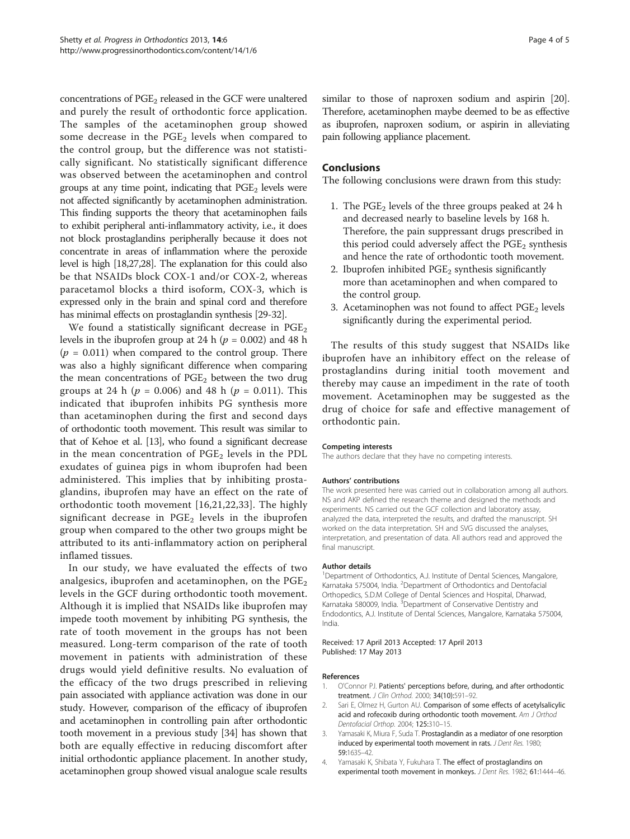<span id="page-3-0"></span>concentrations of  $PGE_2$  released in the GCF were unaltered and purely the result of orthodontic force application. The samples of the acetaminophen group showed some decrease in the  $PGE<sub>2</sub>$  levels when compared to the control group, but the difference was not statistically significant. No statistically significant difference was observed between the acetaminophen and control groups at any time point, indicating that  $PGE<sub>2</sub>$  levels were not affected significantly by acetaminophen administration. This finding supports the theory that acetaminophen fails to exhibit peripheral anti-inflammatory activity, i.e., it does not block prostaglandins peripherally because it does not concentrate in areas of inflammation where the peroxide level is high [\[18,27,28\]](#page-4-0). The explanation for this could also be that NSAIDs block COX-1 and/or COX-2, whereas paracetamol blocks a third isoform, COX-3, which is expressed only in the brain and spinal cord and therefore has minimal effects on prostaglandin synthesis [\[29](#page-4-0)-[32](#page-4-0)].

We found a statistically significant decrease in  $PGE_2$ levels in the ibuprofen group at 24 h ( $p = 0.002$ ) and 48 h  $(p = 0.011)$  when compared to the control group. There was also a highly significant difference when comparing the mean concentrations of  $PGE_2$  between the two drug groups at 24 h ( $p = 0.006$ ) and 48 h ( $p = 0.011$ ). This indicated that ibuprofen inhibits PG synthesis more than acetaminophen during the first and second days of orthodontic tooth movement. This result was similar to that of Kehoe et al. [\[13](#page-4-0)], who found a significant decrease in the mean concentration of  $PGE<sub>2</sub>$  levels in the PDL exudates of guinea pigs in whom ibuprofen had been administered. This implies that by inhibiting prostaglandins, ibuprofen may have an effect on the rate of orthodontic tooth movement [[16,21,22](#page-4-0),[33\]](#page-4-0). The highly significant decrease in  $PGE<sub>2</sub>$  levels in the ibuprofen group when compared to the other two groups might be attributed to its anti-inflammatory action on peripheral inflamed tissues.

In our study, we have evaluated the effects of two analgesics, ibuprofen and acetaminophen, on the  $PGE<sub>2</sub>$ levels in the GCF during orthodontic tooth movement. Although it is implied that NSAIDs like ibuprofen may impede tooth movement by inhibiting PG synthesis, the rate of tooth movement in the groups has not been measured. Long-term comparison of the rate of tooth movement in patients with administration of these drugs would yield definitive results. No evaluation of the efficacy of the two drugs prescribed in relieving pain associated with appliance activation was done in our study. However, comparison of the efficacy of ibuprofen and acetaminophen in controlling pain after orthodontic tooth movement in a previous study [\[34\]](#page-4-0) has shown that both are equally effective in reducing discomfort after initial orthodontic appliance placement. In another study, acetaminophen group showed visual analogue scale results similar to those of naproxen sodium and aspirin [[20](#page-4-0)]. Therefore, acetaminophen maybe deemed to be as effective as ibuprofen, naproxen sodium, or aspirin in alleviating pain following appliance placement.

#### **Conclusions**

The following conclusions were drawn from this study:

- 1. The  $PGE_2$  levels of the three groups peaked at 24 h and decreased nearly to baseline levels by 168 h. Therefore, the pain suppressant drugs prescribed in this period could adversely affect the  $PGE<sub>2</sub>$  synthesis and hence the rate of orthodontic tooth movement.
- 2. Ibuprofen inhibited  $PGE<sub>2</sub>$  synthesis significantly more than acetaminophen and when compared to the control group.
- 3. Acetaminophen was not found to affect  $PGE<sub>2</sub>$  levels significantly during the experimental period.

The results of this study suggest that NSAIDs like ibuprofen have an inhibitory effect on the release of prostaglandins during initial tooth movement and thereby may cause an impediment in the rate of tooth movement. Acetaminophen may be suggested as the drug of choice for safe and effective management of orthodontic pain.

#### Competing interests

The authors declare that they have no competing interests.

#### Authors' contributions

The work presented here was carried out in collaboration among all authors. NS and AKP defined the research theme and designed the methods and experiments. NS carried out the GCF collection and laboratory assay, analyzed the data, interpreted the results, and drafted the manuscript. SH worked on the data interpretation. SH and SVG discussed the analyses, interpretation, and presentation of data. All authors read and approved the final manuscript.

#### Author details

<sup>1</sup>Department of Orthodontics, A.J. Institute of Dental Sciences, Mangalore Karnataka 575004, India. <sup>2</sup>Department of Orthodontics and Dentofacial Orthopedics, S.D.M College of Dental Sciences and Hospital, Dharwad, Karnataka 580009, India. <sup>3</sup>Department of Conservative Dentistry and Endodontics, A.J. Institute of Dental Sciences, Mangalore, Karnataka 575004, India.

#### Received: 17 April 2013 Accepted: 17 April 2013 Published: 17 May 2013

#### References

- O'Connor PJ. Patients' perceptions before, during, and after orthodontic treatment. J Clin Orthod. 2000; 34(10):591–92.
- 2. Sari E, Olmez H, Gurton AU. Comparison of some effects of acetylsalicylic acid and rofecoxib during orthodontic tooth movement. Am J Orthod Dentofacial Orthop. 2004; 125:310–15.
- 3. Yamasaki K, Miura F, Suda T. Prostaglandin as a mediator of one resorption induced by experimental tooth movement in rats. J Dent Res. 1980; 59:1635–42.
- 4. Yamasaki K, Shibata Y, Fukuhara T. The effect of prostaglandins on experimental tooth movement in monkeys. J Dent Res. 1982; 61:1444-46.